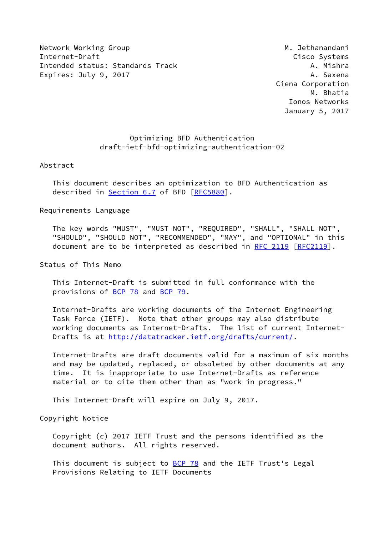Network Working Group Metwork Working Group Metwork Methods and Methods and Methods Methods and Metal Methods M Internet-Draft Cisco Systems Intended status: Standards Track A. Mishra Expires: July 9, 2017 **A. Saxena** 

 Ciena Corporation M. Bhatia Ionos Networks January 5, 2017

# Optimizing BFD Authentication draft-ietf-bfd-optimizing-authentication-02

## Abstract

 This document describes an optimization to BFD Authentication as described in **Section 6.7** of BFD [\[RFC5880](https://datatracker.ietf.org/doc/pdf/rfc5880)].

## Requirements Language

 The key words "MUST", "MUST NOT", "REQUIRED", "SHALL", "SHALL NOT", "SHOULD", "SHOULD NOT", "RECOMMENDED", "MAY", and "OPTIONAL" in this document are to be interpreted as described in [RFC 2119 \[RFC2119](https://datatracker.ietf.org/doc/pdf/rfc2119)].

Status of This Memo

 This Internet-Draft is submitted in full conformance with the provisions of [BCP 78](https://datatracker.ietf.org/doc/pdf/bcp78) and [BCP 79](https://datatracker.ietf.org/doc/pdf/bcp79).

 Internet-Drafts are working documents of the Internet Engineering Task Force (IETF). Note that other groups may also distribute working documents as Internet-Drafts. The list of current Internet- Drafts is at<http://datatracker.ietf.org/drafts/current/>.

 Internet-Drafts are draft documents valid for a maximum of six months and may be updated, replaced, or obsoleted by other documents at any time. It is inappropriate to use Internet-Drafts as reference material or to cite them other than as "work in progress."

This Internet-Draft will expire on July 9, 2017.

Copyright Notice

 Copyright (c) 2017 IETF Trust and the persons identified as the document authors. All rights reserved.

This document is subject to **[BCP 78](https://datatracker.ietf.org/doc/pdf/bcp78)** and the IETF Trust's Legal Provisions Relating to IETF Documents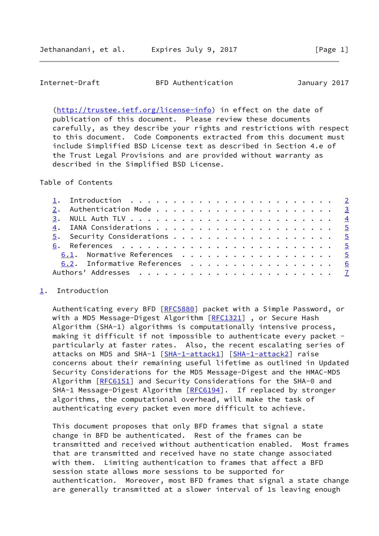#### <span id="page-1-1"></span>Internet-Draft BFD Authentication January 2017

 [\(http://trustee.ietf.org/license-info](http://trustee.ietf.org/license-info)) in effect on the date of publication of this document. Please review these documents carefully, as they describe your rights and restrictions with respect to this document. Code Components extracted from this document must include Simplified BSD License text as described in Section 4.e of the Trust Legal Provisions and are provided without warranty as described in the Simplified BSD License.

Table of Contents

|  | 1. Introduction $\ldots \ldots \ldots \ldots \ldots \ldots \ldots \ldots \ldots$ |  |
|--|----------------------------------------------------------------------------------|--|
|  |                                                                                  |  |
|  |                                                                                  |  |
|  |                                                                                  |  |
|  |                                                                                  |  |
|  |                                                                                  |  |
|  | 6.1. Normative References 5                                                      |  |
|  | 6.2. Informative References 6                                                    |  |
|  |                                                                                  |  |
|  |                                                                                  |  |

## <span id="page-1-0"></span>[1](#page-1-0). Introduction

Authenticating every BFD [\[RFC5880](https://datatracker.ietf.org/doc/pdf/rfc5880)] packet with a Simple Password, or with a MD5 Message-Digest Algorithm [\[RFC1321](https://datatracker.ietf.org/doc/pdf/rfc1321)], or Secure Hash Algorithm (SHA-1) algorithms is computationally intensive process, making it difficult if not impossible to authenticate every packet particularly at faster rates. Also, the recent escalating series of attacks on MD5 and SHA-1 [\[SHA-1-attack1\]](#page-7-0) [\[SHA-1-attack2\]](#page-7-1) raise concerns about their remaining useful lifetime as outlined in Updated Security Considerations for the MD5 Message-Digest and the HMAC-MD5 Algorithm [[RFC6151](https://datatracker.ietf.org/doc/pdf/rfc6151)] and Security Considerations for the SHA-0 and SHA-1 Message-Digest Algorithm [\[RFC6194](https://datatracker.ietf.org/doc/pdf/rfc6194)]. If replaced by stronger algorithms, the computational overhead, will make the task of authenticating every packet even more difficult to achieve.

 This document proposes that only BFD frames that signal a state change in BFD be authenticated. Rest of the frames can be transmitted and received without authentication enabled. Most frames that are transmitted and received have no state change associated with them. Limiting authentication to frames that affect a BFD session state allows more sessions to be supported for authentication. Moreover, most BFD frames that signal a state change are generally transmitted at a slower interval of 1s leaving enough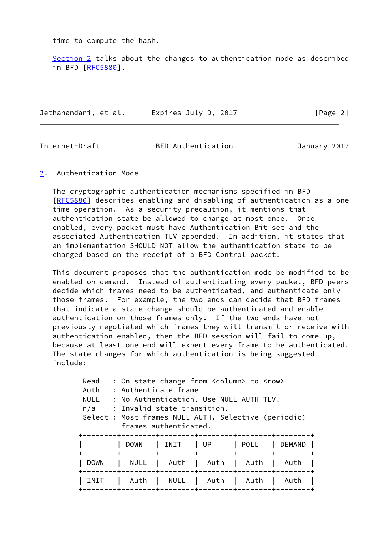time to compute the hash.

 [Section 2](#page-2-0) talks about the changes to authentication mode as described in BFD [\[RFC5880](https://datatracker.ietf.org/doc/pdf/rfc5880)].

| Jethanandani, et al. | Expires July 9, 2017 | [Page 2] |
|----------------------|----------------------|----------|
|                      |                      |          |

<span id="page-2-1"></span>

Internet-Draft BFD Authentication January 2017

<span id="page-2-0"></span>[2](#page-2-0). Authentication Mode

 The cryptographic authentication mechanisms specified in BFD [\[RFC5880](https://datatracker.ietf.org/doc/pdf/rfc5880)] describes enabling and disabling of authentication as a one time operation. As a security precaution, it mentions that authentication state be allowed to change at most once. Once enabled, every packet must have Authentication Bit set and the associated Authentication TLV appended. In addition, it states that an implementation SHOULD NOT allow the authentication state to be changed based on the receipt of a BFD Control packet.

 This document proposes that the authentication mode be modified to be enabled on demand. Instead of authenticating every packet, BFD peers decide which frames need to be authenticated, and authenticate only those frames. For example, the two ends can decide that BFD frames that indicate a state change should be authenticated and enable authentication on those frames only. If the two ends have not previously negotiated which frames they will transmit or receive with authentication enabled, then the BFD session will fail to come up, because at least one end will expect every frame to be authenticated. The state changes for which authentication is being suggested include:

| Read<br>Auth<br><b>NULL</b><br>n/a | : On state change from <column> to <row><br/>: Authenticate frame<br/>: No Authentication, Use NULL AUTH TLV.<br/>: Invalid state transition.<br/>Select : Most frames NULL AUTH. Selective (periodic)<br/>frames authenticated.</row></column> |                                              |      |                                            |        |
|------------------------------------|-------------------------------------------------------------------------------------------------------------------------------------------------------------------------------------------------------------------------------------------------|----------------------------------------------|------|--------------------------------------------|--------|
|                                    | <b>DOWN</b>                                                                                                                                                                                                                                     | INIT                                         | l UP | POLL                                       | DEMAND |
| <b>DOWN</b>                        | $------+-$<br>NULL                                                                                                                                                                                                                              | Auth  <br>------+--------+---------+-------  | Auth | --------+--------+---------+------<br>Auth | Auth   |
| INIT                               | Auth                                                                                                                                                                                                                                            | NULL<br>-------+--------+--------+-------+-- | Auth | Auth                                       | Auth   |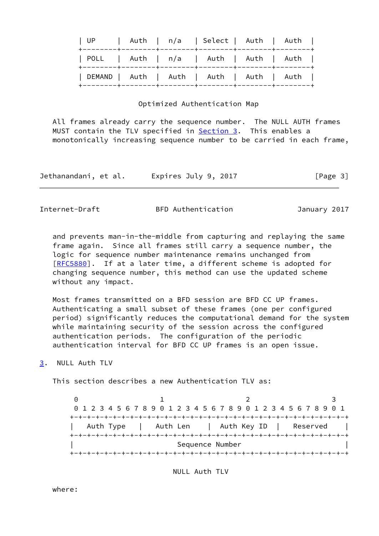| UP   Auth   n/a   Select   Auth   Auth    |  |  |  |
|-------------------------------------------|--|--|--|
| POLL   Auth   n/a   Auth   Auth   Auth    |  |  |  |
| DEMAND   Auth   Auth   Auth   Auth   Auth |  |  |  |

#### Optimized Authentication Map

 All frames already carry the sequence number. The NULL AUTH frames MUST contain the TLV specified in **Section 3.** This enables a monotonically increasing sequence number to be carried in each frame,

| Expires July 9, 2017<br>Jethanandani, et al. | [Page 3] |
|----------------------------------------------|----------|
|----------------------------------------------|----------|

<span id="page-3-1"></span>

Internet-Draft BFD Authentication January 2017

 and prevents man-in-the-middle from capturing and replaying the same frame again. Since all frames still carry a sequence number, the logic for sequence number maintenance remains unchanged from [\[RFC5880](https://datatracker.ietf.org/doc/pdf/rfc5880)]. If at a later time, a different scheme is adopted for changing sequence number, this method can use the updated scheme without any impact.

 Most frames transmitted on a BFD session are BFD CC UP frames. Authenticating a small subset of these frames (one per configured period) significantly reduces the computational demand for the system while maintaining security of the session across the configured authentication periods. The configuration of the periodic authentication interval for BFD CC UP frames is an open issue.

<span id="page-3-0"></span>[3](#page-3-0). NULL Auth TLV

This section describes a new Authentication TLV as:

 $0$  1 2 3 0 1 2 3 4 5 6 7 8 9 0 1 2 3 4 5 6 7 8 9 0 1 2 3 4 5 6 7 8 9 0 1 +-+-+-+-+-+-+-+-+-+-+-+-+-+-+-+-+-+-+-+-+-+-+-+-+-+-+-+-+-+-+-+-+ Auth Type | Auth Len | Auth Key ID | Reserved | +-+-+-+-+-+-+-+-+-+-+-+-+-+-+-+-+-+-+-+-+-+-+-+-+-+-+-+-+-+-+-+-+ Sequence Number +-+-+-+-+-+-+-+-+-+-+-+-+-+-+-+-+-+-+-+-+-+-+-+-+-+-+-+-+-+-+-+-+

NULL Auth TLV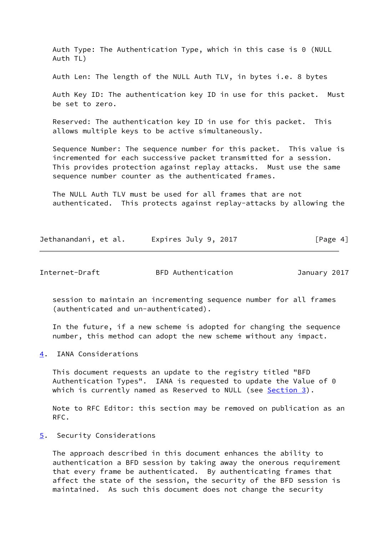Auth Type: The Authentication Type, which in this case is 0 (NULL Auth TL)

Auth Len: The length of the NULL Auth TLV, in bytes i.e. 8 bytes

 Auth Key ID: The authentication key ID in use for this packet. Must be set to zero.

 Reserved: The authentication key ID in use for this packet. This allows multiple keys to be active simultaneously.

 Sequence Number: The sequence number for this packet. This value is incremented for each successive packet transmitted for a session. This provides protection against replay attacks. Must use the same sequence number counter as the authenticated frames.

 The NULL Auth TLV must be used for all frames that are not authenticated. This protects against replay-attacks by allowing the

| Jethanandani, et al. | Expires July 9, 2017 | [Page 4] |
|----------------------|----------------------|----------|
|                      |                      |          |

<span id="page-4-1"></span>Internet-Draft BFD Authentication January 2017

 session to maintain an incrementing sequence number for all frames (authenticated and un-authenticated).

 In the future, if a new scheme is adopted for changing the sequence number, this method can adopt the new scheme without any impact.

<span id="page-4-0"></span>[4](#page-4-0). IANA Considerations

 This document requests an update to the registry titled "BFD Authentication Types". IANA is requested to update the Value of 0 which is currently named as Reserved to NULL (see [Section 3\)](#page-3-0).

 Note to RFC Editor: this section may be removed on publication as an RFC.

<span id="page-4-2"></span>[5](#page-4-2). Security Considerations

 The approach described in this document enhances the ability to authentication a BFD session by taking away the onerous requirement that every frame be authenticated. By authenticating frames that affect the state of the session, the security of the BFD session is maintained. As such this document does not change the security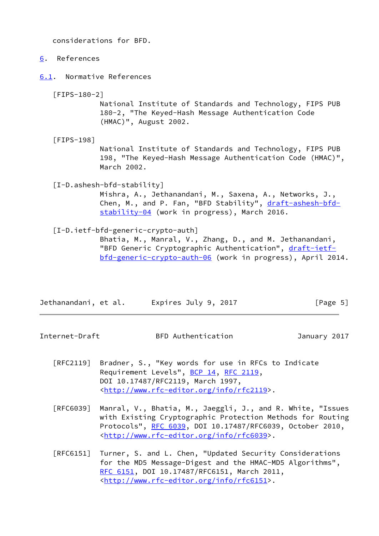considerations for BFD.

- <span id="page-5-0"></span>[6](#page-5-0). References
- <span id="page-5-1"></span>[6.1](#page-5-1). Normative References

[FIPS-180-2]

 National Institute of Standards and Technology, FIPS PUB 180-2, "The Keyed-Hash Message Authentication Code (HMAC)", August 2002.

[FIPS-198]

 National Institute of Standards and Technology, FIPS PUB 198, "The Keyed-Hash Message Authentication Code (HMAC)", March 2002.

[I-D.ashesh-bfd-stability]

 Mishra, A., Jethanandani, M., Saxena, A., Networks, J., Chen, M., and P. Fan, "BFD Stability", [draft-ashesh-bfd](https://datatracker.ietf.org/doc/pdf/draft-ashesh-bfd-stability-04) [stability-04](https://datatracker.ietf.org/doc/pdf/draft-ashesh-bfd-stability-04) (work in progress), March 2016.

[I-D.ietf-bfd-generic-crypto-auth]

 Bhatia, M., Manral, V., Zhang, D., and M. Jethanandani, "BFD Generic Cryptographic Authentication", [draft-ietf](https://datatracker.ietf.org/doc/pdf/draft-ietf-bfd-generic-crypto-auth-06) [bfd-generic-crypto-auth-06](https://datatracker.ietf.org/doc/pdf/draft-ietf-bfd-generic-crypto-auth-06) (work in progress), April 2014.

| Jethanandani, et al. | Expires July 9, 2017 | [Page 5] |
|----------------------|----------------------|----------|
|----------------------|----------------------|----------|

<span id="page-5-2"></span>Internet-Draft BFD Authentication January 2017

- [RFC2119] Bradner, S., "Key words for use in RFCs to Indicate Requirement Levels", [BCP 14](https://datatracker.ietf.org/doc/pdf/bcp14), [RFC 2119](https://datatracker.ietf.org/doc/pdf/rfc2119), DOI 10.17487/RFC2119, March 1997, <<http://www.rfc-editor.org/info/rfc2119>>.
- [RFC6039] Manral, V., Bhatia, M., Jaeggli, J., and R. White, "Issues with Existing Cryptographic Protection Methods for Routing Protocols", [RFC 6039,](https://datatracker.ietf.org/doc/pdf/rfc6039) DOI 10.17487/RFC6039, October 2010, <<http://www.rfc-editor.org/info/rfc6039>>.
- [RFC6151] Turner, S. and L. Chen, "Updated Security Considerations for the MD5 Message-Digest and the HMAC-MD5 Algorithms", [RFC 6151,](https://datatracker.ietf.org/doc/pdf/rfc6151) DOI 10.17487/RFC6151, March 2011, <<http://www.rfc-editor.org/info/rfc6151>>.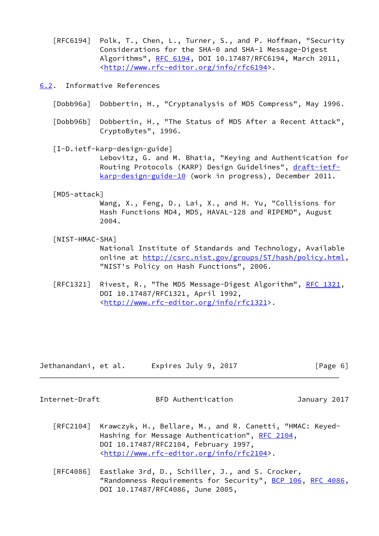[RFC6194] Polk, T., Chen, L., Turner, S., and P. Hoffman, "Security Considerations for the SHA-0 and SHA-1 Message-Digest Algorithms", [RFC 6194](https://datatracker.ietf.org/doc/pdf/rfc6194), DOI 10.17487/RFC6194, March 2011, <<http://www.rfc-editor.org/info/rfc6194>>.

<span id="page-6-0"></span>[6.2](#page-6-0). Informative References

- [Dobb96a] Dobbertin, H., "Cryptanalysis of MD5 Compress", May 1996.
- [Dobb96b] Dobbertin, H., "The Status of MD5 After a Recent Attack", CryptoBytes", 1996.

 [I-D.ietf-karp-design-guide] Lebovitz, G. and M. Bhatia, "Keying and Authentication for Routing Protocols (KARP) Design Guidelines", [draft-ietf](https://datatracker.ietf.org/doc/pdf/draft-ietf-karp-design-guide-10) [karp-design-guide-10](https://datatracker.ietf.org/doc/pdf/draft-ietf-karp-design-guide-10) (work in progress), December 2011.

## [MD5-attack]

 Wang, X., Feng, D., Lai, X., and H. Yu, "Collisions for Hash Functions MD4, MD5, HAVAL-128 and RIPEMD", August 2004.

[NIST-HMAC-SHA]

 National Institute of Standards and Technology, Available online at<http://csrc.nist.gov/groups/ST/hash/policy.html>, "NIST's Policy on Hash Functions", 2006.

[RFC1321] Rivest, R., "The MD5 Message-Digest Algorithm", [RFC 1321,](https://datatracker.ietf.org/doc/pdf/rfc1321) DOI 10.17487/RFC1321, April 1992, <<http://www.rfc-editor.org/info/rfc1321>>.

| Jethanandani, et al. | Expires July 9, 2017 | [Page 6] |
|----------------------|----------------------|----------|
|----------------------|----------------------|----------|

<span id="page-6-1"></span>

Internet-Draft BFD Authentication January 2017

- [RFC2104] Krawczyk, H., Bellare, M., and R. Canetti, "HMAC: Keyed- Hashing for Message Authentication", [RFC 2104](https://datatracker.ietf.org/doc/pdf/rfc2104), DOI 10.17487/RFC2104, February 1997, <<http://www.rfc-editor.org/info/rfc2104>>.
- [RFC4086] Eastlake 3rd, D., Schiller, J., and S. Crocker, "Randomness Requirements for Security", [BCP 106](https://datatracker.ietf.org/doc/pdf/bcp106), [RFC 4086,](https://datatracker.ietf.org/doc/pdf/rfc4086) DOI 10.17487/RFC4086, June 2005,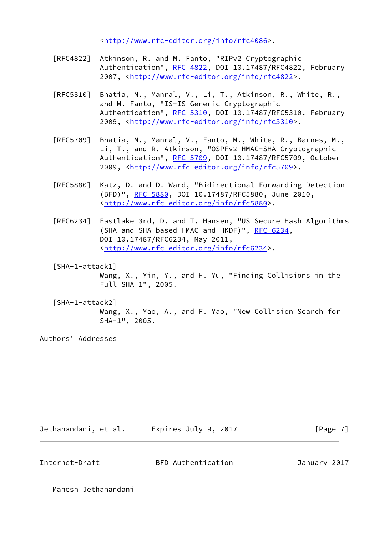<<http://www.rfc-editor.org/info/rfc4086>>.

- [RFC4822] Atkinson, R. and M. Fanto, "RIPv2 Cryptographic Authentication", [RFC 4822,](https://datatracker.ietf.org/doc/pdf/rfc4822) DOI 10.17487/RFC4822, February 2007, [<http://www.rfc-editor.org/info/rfc4822](http://www.rfc-editor.org/info/rfc4822)>.
- [RFC5310] Bhatia, M., Manral, V., Li, T., Atkinson, R., White, R., and M. Fanto, "IS-IS Generic Cryptographic Authentication", [RFC 5310,](https://datatracker.ietf.org/doc/pdf/rfc5310) DOI 10.17487/RFC5310, February 2009, [<http://www.rfc-editor.org/info/rfc5310](http://www.rfc-editor.org/info/rfc5310)>.
- [RFC5709] Bhatia, M., Manral, V., Fanto, M., White, R., Barnes, M., Li, T., and R. Atkinson, "OSPFv2 HMAC-SHA Cryptographic Authentication", [RFC 5709,](https://datatracker.ietf.org/doc/pdf/rfc5709) DOI 10.17487/RFC5709, October 2009, [<http://www.rfc-editor.org/info/rfc5709](http://www.rfc-editor.org/info/rfc5709)>.
- [RFC5880] Katz, D. and D. Ward, "Bidirectional Forwarding Detection (BFD)", [RFC 5880,](https://datatracker.ietf.org/doc/pdf/rfc5880) DOI 10.17487/RFC5880, June 2010, <<http://www.rfc-editor.org/info/rfc5880>>.
- [RFC6234] Eastlake 3rd, D. and T. Hansen, "US Secure Hash Algorithms (SHA and SHA-based HMAC and HKDF)", [RFC 6234,](https://datatracker.ietf.org/doc/pdf/rfc6234) DOI 10.17487/RFC6234, May 2011, <<http://www.rfc-editor.org/info/rfc6234>>.
- <span id="page-7-0"></span> [SHA-1-attack1] Wang, X., Yin, Y., and H. Yu, "Finding Collisions in the Full SHA-1", 2005.
- <span id="page-7-1"></span> [SHA-1-attack2] Wang, X., Yao, A., and F. Yao, "New Collision Search for SHA-1", 2005.

Authors' Addresses

| Expires July 9, 2017<br>Jethanandani, et al. |  | [Page 7] |
|----------------------------------------------|--|----------|
|----------------------------------------------|--|----------|

Internet-Draft BFD Authentication January 2017

Mahesh Jethanandani